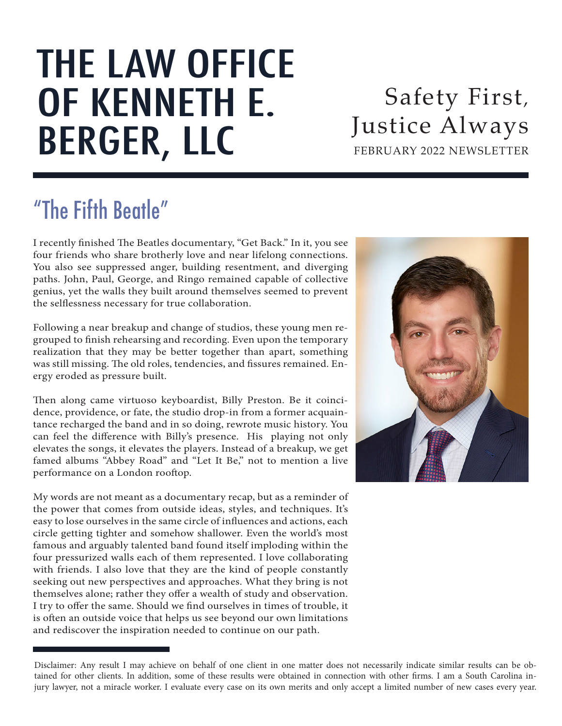# THE LAW OFFICE OF KENNETH E. BERGER, LLC

FEBRUARY 2022 NEWSLETTER Safety First, Justice Always

# "The Fifth Beatle"

I recently finished The Beatles documentary, "Get Back." In it, you see four friends who share brotherly love and near lifelong connections. You also see suppressed anger, building resentment, and diverging paths. John, Paul, George, and Ringo remained capable of collective genius, yet the walls they built around themselves seemed to prevent the selflessness necessary for true collaboration.

Following a near breakup and change of studios, these young men regrouped to finish rehearsing and recording. Even upon the temporary realization that they may be better together than apart, something was still missing. The old roles, tendencies, and fissures remained. Energy eroded as pressure built.

Then along came virtuoso keyboardist, Billy Preston. Be it coincidence, providence, or fate, the studio drop-in from a former acquaintance recharged the band and in so doing, rewrote music history. You can feel the difference with Billy's presence. His playing not only elevates the songs, it elevates the players. Instead of a breakup, we get famed albums "Abbey Road" and "Let It Be," not to mention a live performance on a London rooftop.

My words are not meant as a documentary recap, but as a reminder of the power that comes from outside ideas, styles, and techniques. It's easy to lose ourselves in the same circle of influences and actions, each circle getting tighter and somehow shallower. Even the world's most famous and arguably talented band found itself imploding within the four pressurized walls each of them represented. I love collaborating with friends. I also love that they are the kind of people constantly seeking out new perspectives and approaches. What they bring is not themselves alone; rather they offer a wealth of study and observation. I try to offer the same. Should we find ourselves in times of trouble, it is often an outside voice that helps us see beyond our own limitations and rediscover the inspiration needed to continue on our path.



Disclaimer: Any result I may achieve on behalf of one client in one matter does not necessarily indicate similar results can be obtained for other clients. In addition, some of these results were obtained in connection with other firms. I am a South Carolina injury lawyer, not a miracle worker. I evaluate every case on its own merits and only accept a limited number of new cases every year.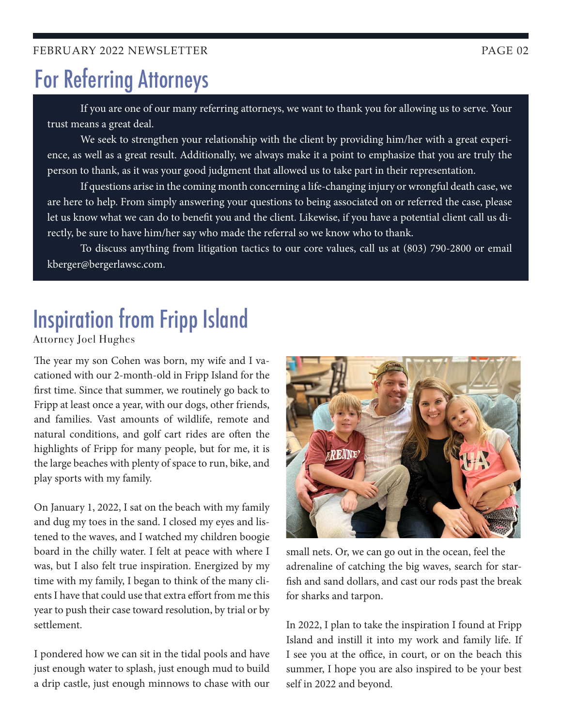# For Referring Attorneys

If you are one of our many referring attorneys, we want to thank you for allowing us to serve. Your trust means a great deal.

We seek to strengthen your relationship with the client by providing him/her with a great experience, as well as a great result. Additionally, we always make it a point to emphasize that you are truly the person to thank, as it was your good judgment that allowed us to take part in their representation.

If questions arise in the coming month concerning a life-changing injury or wrongful death case, we are here to help. From simply answering your questions to being associated on or referred the case, please let us know what we can do to benefit you and the client. Likewise, if you have a potential client call us directly, be sure to have him/her say who made the referral so we know who to thank.

To discuss anything from litigation tactics to our core values, call us at (803) 790-2800 or email kberger@bergerlawsc.com.

# Inspiration from Fripp Island

Attorney Joel Hughes

The year my son Cohen was born, my wife and I vacationed with our 2-month-old in Fripp Island for the first time. Since that summer, we routinely go back to Fripp at least once a year, with our dogs, other friends, and families. Vast amounts of wildlife, remote and natural conditions, and golf cart rides are often the highlights of Fripp for many people, but for me, it is the large beaches with plenty of space to run, bike, and play sports with my family.

On January 1, 2022, I sat on the beach with my family and dug my toes in the sand. I closed my eyes and listened to the waves, and I watched my children boogie board in the chilly water. I felt at peace with where I was, but I also felt true inspiration. Energized by my time with my family, I began to think of the many clients I have that could use that extra effort from me this year to push their case toward resolution, by trial or by settlement.

I pondered how we can sit in the tidal pools and have just enough water to splash, just enough mud to build a drip castle, just enough minnows to chase with our



small nets. Or, we can go out in the ocean, feel the adrenaline of catching the big waves, search for starfish and sand dollars, and cast our rods past the break for sharks and tarpon.

In 2022, I plan to take the inspiration I found at Fripp Island and instill it into my work and family life. If I see you at the office, in court, or on the beach this summer, I hope you are also inspired to be your best self in 2022 and beyond.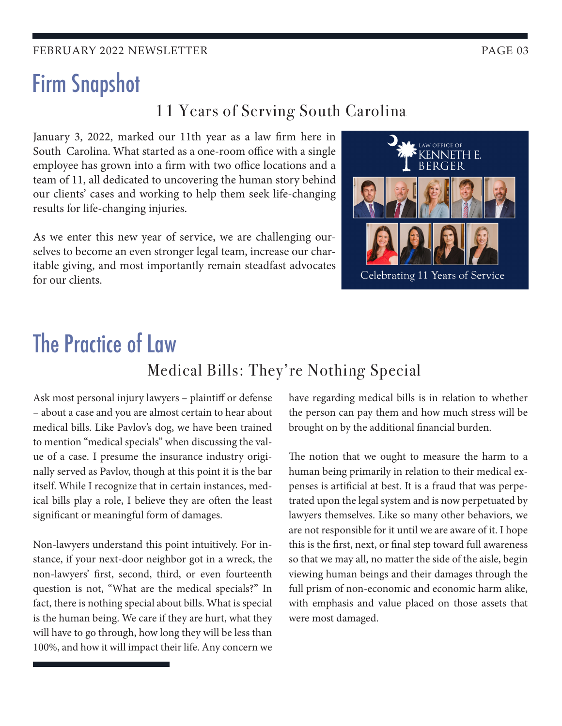#### FEBRUARY 2022 NEWSLETTER FEBRUARY 2022 NEWSLETTER

## Firm Snapshot

#### 11 Years of Serving South Carolina

January 3, 2022, marked our 11th year as a law firm here in South Carolina. What started as a one-room office with a single employee has grown into a firm with two office locations and a team of 11, all dedicated to uncovering the human story behind our clients' cases and working to help them seek life-changing results for life-changing injuries.

As we enter this new year of service, we are challenging ourselves to become an even stronger legal team, increase our charitable giving, and most importantly remain steadfast advocates for our clients.



## The Practice of Law Medical Bills: They're Nothing Special

Ask most personal injury lawyers – plaintiff or defense – about a case and you are almost certain to hear about medical bills. Like Pavlov's dog, we have been trained to mention "medical specials" when discussing the value of a case. I presume the insurance industry originally served as Pavlov, though at this point it is the bar itself. While I recognize that in certain instances, medical bills play a role, I believe they are often the least significant or meaningful form of damages.

Non-lawyers understand this point intuitively. For instance, if your next-door neighbor got in a wreck, the non-lawyers' first, second, third, or even fourteenth question is not, "What are the medical specials?" In fact, there is nothing special about bills. What is special is the human being. We care if they are hurt, what they will have to go through, how long they will be less than 100%, and how it will impact their life. Any concern we have regarding medical bills is in relation to whether the person can pay them and how much stress will be brought on by the additional financial burden.

The notion that we ought to measure the harm to a human being primarily in relation to their medical expenses is artificial at best. It is a fraud that was perpetrated upon the legal system and is now perpetuated by lawyers themselves. Like so many other behaviors, we are not responsible for it until we are aware of it. I hope this is the first, next, or final step toward full awareness so that we may all, no matter the side of the aisle, begin viewing human beings and their damages through the full prism of non-economic and economic harm alike, with emphasis and value placed on those assets that were most damaged.